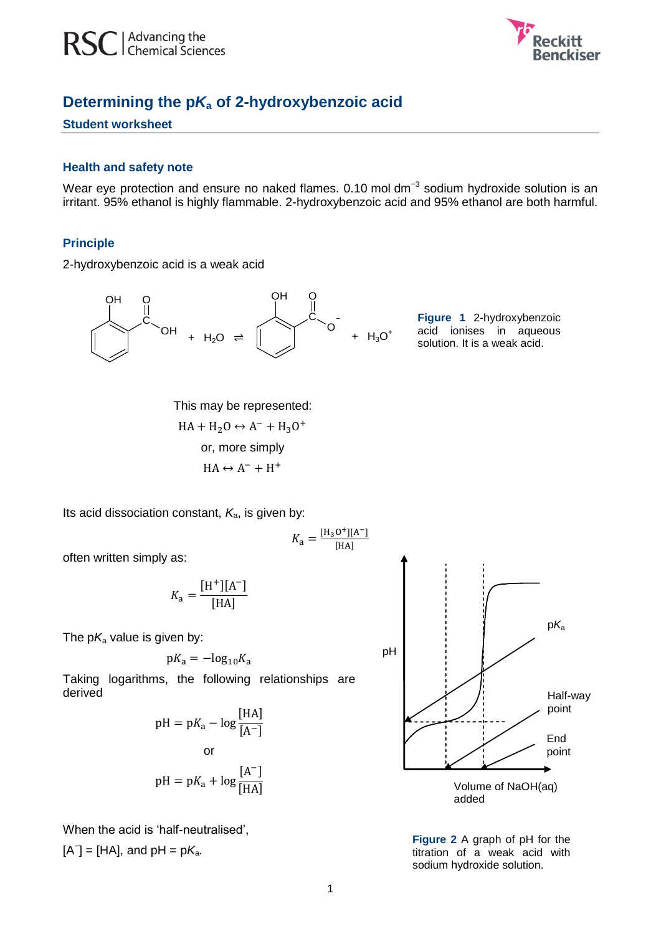

# **Determining the p***K***<sup>a</sup> of 2-hydroxybenzoic acid**

#### **Student worksheet**

#### **Health and safety note**

Wear eye protection and ensure no naked flames. 0.10 mol dm<sup>-3</sup> sodium hydroxide solution is an irritant. 95% ethanol is highly flammable. 2-hydroxybenzoic acid and 95% ethanol are both harmful.

#### **Principle**

2-hydroxybenzoic acid is a weak acid



**Figure 1** 2-hydroxybenzoic acid ionises in aqueous solution. It is a weak acid.

 $HA + H<sub>2</sub>O \leftrightarrow A^- + H<sub>3</sub>O^+$  $HA \leftrightarrow A^- + H^+$ This may be represented: or, more simply

Its acid dissociation constant,  $K_a$ , is given by:

often written simply as:

$$
K_{\rm a} = \frac{\rm [H^+][A^-]}{\rm [HA]}
$$

The  $pK_a$  value is given by:

$$
pK_a = -\log_{10} K_a
$$

Taking logarithms, the following relationships are derived

$$
pH = pK_a - \log \frac{[HA]}{[A^-]}
$$
  
or  

$$
pH = pK_a + \log \frac{[A^-]}{[HA]}
$$

When the acid is 'half-neutralised',  $[A^{\dagger}] = [HA]$ , and  $pH = pK_a$ .



**Figure 2** A graph of pH for the titration of a weak acid with sodium hydroxide solution.

 $K_{\rm a} = \frac{[H_{\rm 3}O^+][A^-]}{[HA^+]}$ ſ